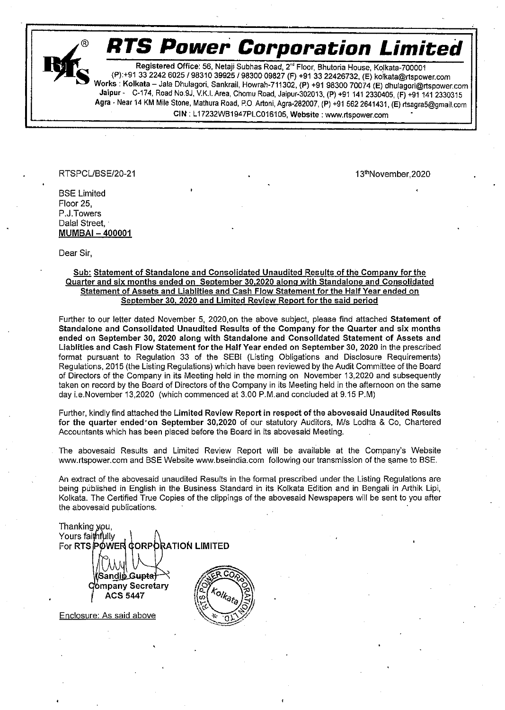

© RTS Power Corporation Limited

Registered Office: 56, Netaji Subhas Road, 2<sup>nd</sup> Floor, Bhutoria House, Kolkata-700001<br>(P):+91 33 2242 6025 / 98310 39925 / 98300 09827 (F) +91 33 22426732, (E) kolkata@rtspower.com<br>Works : Kolkata – Jala Dhulagori, Sankra CIN : L17232WB1947PLC016105, Website : www.rispower.com \*

RTSPCL/BSE/20-21 . 2009 . 13th November, 2020

**BSE Limited** Floor 25, P.J. Towers Dalal Street, MUMBAI - 400001

Dear Sir,

#### Sub: Statement of Standalone and Consolidated Unaudited Results of the Company for the Quarter and six months ended on September 30,2020 along with Standalone and Consolidated Statement of Assets and Liablities and Cash Flow Statement for the Half Year ended on September 30, 2020 and Limited Review Report for the said period

Further to our letter dated November 5, 2020,on the above subject, please find attached Statement of Standalone and Consolidated Unaudited Results of the Company for the Quarter and six months ended on September 30, 2020 along with Standalone and Consolidated Statement of Assets and Liablities and Cash Flow Statement for the Half Year ended on September 30, 2020 in the prescribed format pursuant to Regulation 33 of the SEB! (Listing Obligations and Disclosure Requirements) Regulations, 2015 (the Listing Regulations) which have been reviewed by the Audit Committee of the Board of Directors of the Company in its Meeting held in the morning on November 13,2020 and subsequently taken on record by the Board of Directors of the Company in its Meeting held in the afternoon on the same day i.e.November 13,2020 (which commenced at 3.00 P.M.and concluded at 9.15 P.M)

Further, kindly find attached the Limited Review Report in respect of the abovesaid Unaudited Results for the quarter ended'on September 30,2020 of our statutory Auditors, M/s Lodha & Co, Chartered Accountants which has been placed before the Board in its abovesaid Meeting.

The abovesaid Results and Limited Review Report will be available at the Company's Website www.rtspower.com and BSE Website www.bseindia.com following our transmission of the same to BSE.

An extract of the abovesaid unaudited Results in the format prescribed under the Listing Regulations are being published in English in the Business Standard in its Kolkata Edition and in Bengali in Arthik Lipi, Kolkata. The Certified True Copies of the clippings of the abovesaid Newspapers will be sent to you after the abovesaid publications. .

Thanking you, Yours faithfully 98 For RTS POWER CORPORATION LIMITED ian<u>dip Gu<del>pta)</del><br>mpany Secretary</u>

Enclosure: As said above

ACS 5447

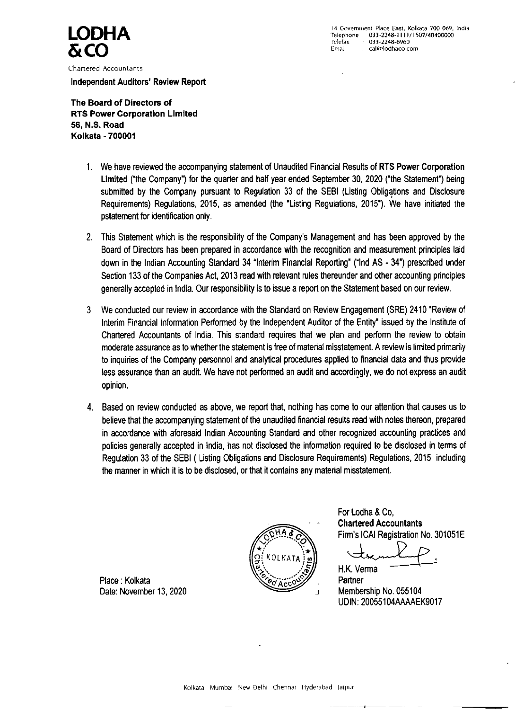14 Government Place East, Kolkata 700 069, India<br>
Telephone : 033-2248-1111/1507/40400000 Telefax : 033-2248-6960  $\sum_{\text{Telefac}}$   $\sum_{\text{The figure 033-2248-6960}}$ 

Chartered Accountants

Independent Auditors' Review Report

The Board of Directors of RTS Power Corporation Limited 56, N.S. Road Kolkata - 700001

- 1. We have reviewed the accompanying statement of Unaudited Financial Results of RTS Power Corporation Limited ("the Company') for the quarter and half year ended September 30, 2020 ("the Statement") being submitted by the Company pursuant to Regulation 33 of the SEB! (Listing Obligations and Disclosure Requirements) Regulations, 2015, as amended (the "Listing Regulations, 2015"). We have initiated the pstatement for identification only.
- This Statement which is the responsibility of the Company's Management and has been approved by the  $2.$ Board of Directors has been prepared in accordance with the recognition and measurement principles laid down in the Indian Accounting Standard 34 "Interim Financial Reporting" ("Ind AS - 34") prescribed under

Section 133 of the Companies Act, 2013 read with relevant rules thereunder and other accounting principles generally accepted in India. Our responsibility is to issue a report on the Statement based on our review.

> For Lodha & Co, Chartered Accountants Firm's ICAI Registration No. 301051E  $\rightarrow$ **The Common**

- We conducted our review in accordance with the Standard on Review Engagement (SRE) 2410 "Review of  $3_{\cdot}$ Interim Financial Information Performed by the Independent Auditor of the Entity" issued by the Institute of Chartered Accountants of India. This standard requires that we plan and perform the review to obtain moderate assurance as to whether the statement is free of material misstatement. A review is limited primarily to inquiries of the Company personnel and analytical procedures applied to financial data and thus provide less assurance than an audit. We have not performed an audit and accordingly, we do not express an audit opinion.
- Based on review conducted as above, we report that, nothing has come to our attention that causes us to 4. believe that the accompanying statement of the unaudited financial results read with notes thereon, prepared in accordance with aforesaid Indian Accounting Standard and other recognized accounting practices and policies generally accepted in india, has not disclosed the information required to be disclosed in terms of Regulation 33 of the SEBI ( Listing Obligations and Disclosure Requirements) Regulations, 2015 including the manner in which it is to be disclosed, or that it contains any material misstatement.





Membership No. 055104 UDIN: 20055104AAAAEK9017

Place : Kolkata Date: November 13, 2020

Kolkata) Mumbai New Delhi Chennai Hyderabad laipur

~ 4 —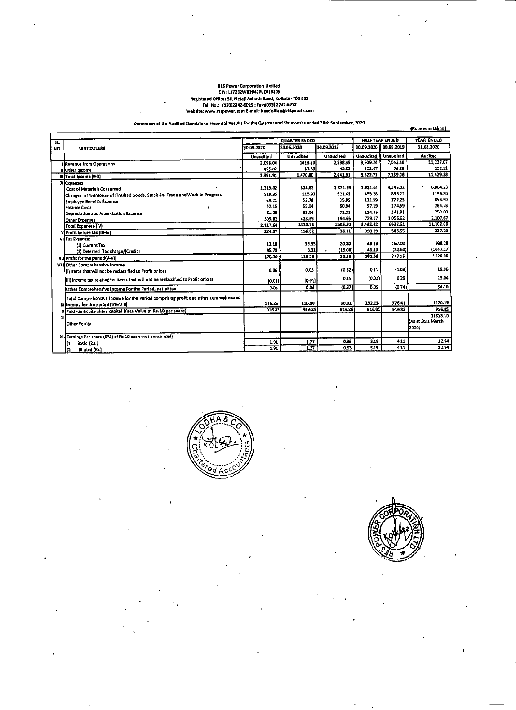### **RTS Power Corporation Umited** CIN: L17232WB1947PLC016105 Registered Office: 56, Netajl Subash Road, Kolkata- 700 001 Tel. No.: (033)2242-6025 ; Fax:(033) 2242-6732 Website: www.rtspower.com E-mail: headoffice@rtspower.com

 $\sim$ 

 $\ddot{\phantom{0}}$ 

 $\mathcal{L}_{\mathcal{A}}$ 

Statement of Un-Audited Standalone Financial Results for the Quarter and Six months ended 30th September, 2020

(Rupees in Lakhs)

 $\bullet$ 

 $\mathbf{r}$ 

 $\mathbf{r}$ 

 $\bullet$ 

| SL. |                                                                                     |            | <b>QUARTER ENDED</b> |            |            | HALF YEAR ENDED  | YEAR ENDED                             |
|-----|-------------------------------------------------------------------------------------|------------|----------------------|------------|------------|------------------|----------------------------------------|
| NO. | <b>PARTICULARS</b>                                                                  | 30.09.2020 | 30.06.2020           | 30.09.2019 | 30.09.2020 | 30.09.2019       | 31.03.2020                             |
|     |                                                                                     | Unaudited  | <b>Unaudited</b>     | Unaudited  | Unaudited  | <b>Unaudited</b> | Audited                                |
|     | t Revenue from Operations                                                           | 2,096.04   | 1413.20              | 2,598.39   | 3,509.24   | 7,042.48         | 11,227.07                              |
|     | (I)Other Income                                                                     | 255.87     | 57.60]               | 43.52      | 313.47     | 96.58            | 202.21                                 |
|     | III Total Income (H-II)                                                             | 2,351.91   | 1,470.80             | 2,641.91   | 3,822.71   | 7,139.06         | 11,429.28                              |
|     | <b>IV Expenses</b>                                                                  |            |                      |            |            |                  |                                        |
|     | <b>Cost of Materials Consumed</b>                                                   | 1,319.82   | 604.62               | 1,671.29   | 1,924.44   | 4,246.02         | 6,964.23                               |
|     | Changes in inventories of Finished Goods, Stock -in- Trade and Work-In-Progress     | 919.35     | 115.93               | 521.65     | 435.28     | 836.22           | 1136.50                                |
|     | <b>Employee Benefits Expense</b>                                                    | 69.21      | 52.78                | 85.95      | 121.99     | 177.25           | 358.90                                 |
|     | Finance Costs                                                                       | 42.15      | 55.04                | 60.94      | 97.19      | 174.59           | 284,78                                 |
|     | Depreciation and Amortization Expense                                               | 61.29      | 63.06                | 71.31      | 124.35     | 141.81           | 250.00                                 |
|     | Other Expenses                                                                      | 305.82     | 423.35               | 194.66     | 729.17     | 1,056.62         | 2,107.67                               |
|     | Total Expenses {IV}                                                                 | 2,117.64   | 1314.78              | 2605.80    | 3,432.42   | 6632.51          | 11,107.08                              |
|     | V Profit before tax (III-IV)                                                        | 234.27     | 156.02               | 36.11      | 390.29     | 506.55           | 327.20                                 |
|     | VI Tax Expense:                                                                     |            |                      |            |            |                  |                                        |
|     | (1) Corrent Tax                                                                     | 13.18      | 35.95                | 20.80      | 49.13      | 162.00           | 188.28                                 |
|     | (2) Deferred Tax charge/(Credit)                                                    | 45.79      | 3.31                 | (15.08)    | 49.10      | (32.60)          | (1047.17)                              |
|     | VII Profit for the period (V-VI)                                                    | 175.30     | 116.76               | 30.39      | 292.06     | 377.15           | 1186.09                                |
|     | VIII Other Comprehensive Income                                                     |            |                      |            |            |                  |                                        |
|     | (i) Items that will not be reclassified to Profit or loss                           | 0.06       | 0.05                 | (0.52)     | 0.11       | (1.03)           | 19.06                                  |
|     | (ii) income tax relating to literns that will not be reclassified to Profit or loss | (0.01)     | [0.01]               | 0.15       | (0.02)     | 0.29             | 15.04                                  |
|     | Other Comprehensive Income For the Period <u>, net of tax-</u>                      | 0.05       | 0.04                 | (0.37)     | 0.09       | (0.74)           | 34.10                                  |
|     | Total Comprehensive Income for the Period comprising profit and other comprehensive |            |                      |            | 292.15     | 376.41           | 1220.19                                |
|     | IX (Income for the period (VII+VIII)                                                | 175.35     | 116.80               | 30.02      | 916.85     |                  | 916.85                                 |
|     | X Paid-up equity share capital (Face Value of Rs. 10 per share)                     | 916.85     | 916.85               | 916.85     |            | 915.85           |                                        |
| XI] | <b>Other Equity</b>                                                                 |            |                      |            |            |                  | 11518.10<br>KAs at 31st March<br>(2020 |
|     | XIII Earnings Per share (EPS) of Rs 10 each (not annualised)                        |            |                      |            |            |                  |                                        |
|     | ([1]<br>Basic (Rs.)                                                                 | 1.91       | 1.27                 | 0.33       | 3.19       | 4.11             | 12.94                                  |
|     | }(2)<br>Diluted (Rs.)                                                               | 1.91       | 1.27                 | 0.33       | 3.19       | 4.11             | 12.94                                  |



 $\mathcal{A}^{\mathcal{A}}$  and  $\mathcal{A}^{\mathcal{A}}$ 

 $\sim 100$ 

 $\sim 100$  km s  $^{-1}$ 

 $\sim 3\%$ 



 $\alpha$  -  $\alpha$  -  $\alpha$  -  $\alpha$  -  $\alpha$ 

 $\mathcal{F}(\mathcal{A})$  .  $\sim 100$  $\langle \bullet \rangle$  .

 $\mathcal{L}_{\text{max}}$  and  $\mathcal{L}_{\text{max}}$  and  $\mathcal{L}_{\text{max}}$ 

 $\bullet$ 

 $\sim$   $\sim$  $\epsilon = 4$  and  $\bullet$  $\mathcal{L}(\mathcal{L})$  and  $\mathcal{L}(\mathcal{L})$  are the set of the set of the set of the  $\mathcal{L}(\mathcal{L})$ 

 $\mathcal{L}_{\text{max}}(\mathbf{r})$  $\sim 10^{-11}$ 

 $\mathcal{L}(\mathcal{L}^{\mathcal{L}}(\mathcal{L}^{\mathcal{L}}(\mathcal{L}^{\mathcal{L}}(\mathcal{L}^{\mathcal{L}}(\mathcal{L}^{\mathcal{L}}(\mathcal{L}^{\mathcal{L}}(\mathcal{L}^{\mathcal{L}}(\mathcal{L}^{\mathcal{L}}(\mathcal{L}^{\mathcal{L}}(\mathcal{L}^{\mathcal{L}}(\mathcal{L}^{\mathcal{L}}(\mathcal{L}^{\mathcal{L}}(\mathcal{L}^{\mathcal{L}}(\mathcal{L}^{\mathcal{L}}(\mathcal{L}^{\mathcal{L}}(\mathcal{L}^{\mathcal{L}}(\mathcal{L}$ 

 $\mathcal{L} = \{ \mathbf{z}_1, \ldots, \mathbf{z}_N \}$ 

 $\mathcal{F}^{\pm}$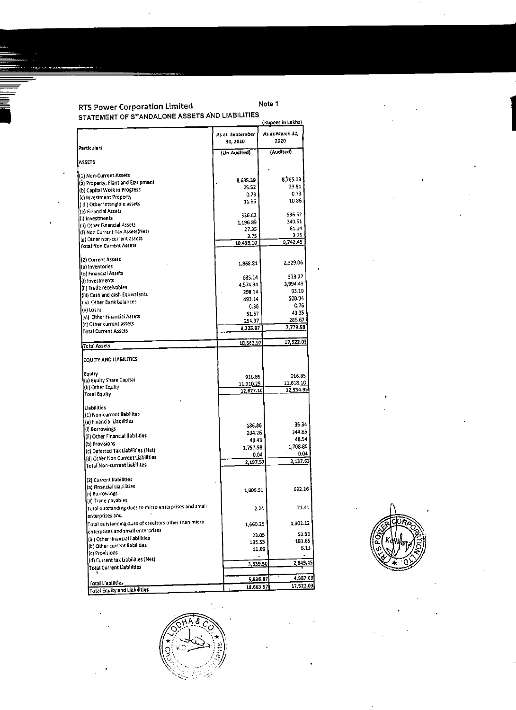# RTS Power Corporation Limited Note 1 RTS Powe<br>STATEMEN STATEMENT OF STANDALONE ASSETS AND LIABILITIES



|                                                       | As at September<br>30, 2020 | As at March 31,<br>2020 |
|-------------------------------------------------------|-----------------------------|-------------------------|
| <b>Particulars</b>                                    | (Un-Audited)                | (Audited)               |
| <b>IASSETS</b>                                        |                             |                         |
|                                                       |                             |                         |
| (1) Non-Current Assets                                | 8,635.39                    | 8,765.03                |
| (a) Property, Plant and Equipment                     | 25.52                       | 23.81                   |
| (b) Capital Work in Progress                          |                             | 0.73                    |
| (c) Investment Property                               | 0.73                        |                         |
| (d) Other Intangible assets                           | 11.85                       | 10.86                   |
| (e) Financial Assets                                  |                             |                         |
| (i) Investments                                       | 536.62                      | 536.62                  |
|                                                       | 1,196.89                    | 340.51                  |
| (ii) Other Financial Assets                           | 27.35                       | 61.14                   |
| (f) Non Current Tax Assets(Net)                       | 3.75                        | 3.75                    |
| (g) Other non-current assets                          | 10,438.10                   | 9,742.45                |
| Total Non Current Assets                              |                             |                         |
| (2) Current Assets                                    |                             |                         |
| (a) Inventories                                       | 1,868.81                    | 2,329.06                |
| (b) Financial Assets                                  |                             |                         |
|                                                       | 685.14                      | 523.27                  |
| {(i) investments                                      | 4,574.34                    | 3,994.43                |
| (ii) Trade receivables                                | 298.14                      | 93.10                   |
| (iii) Cash and cash Equivalents                       |                             |                         |
| (iv) Other Bank balances                              | 493.14                      | 508.94                  |
| $\mathbf{v}$ ) Loans                                  | 0.36                        | 0.76                    |
|                                                       | 51.57                       | 43.35                   |
| (vi) Other Financial Assets                           | 254.37                      | 286.67                  |
| (c) Other current assets                              | 8,225.87                    | 7,779.58                |
| <b>Total Current Assets</b>                           |                             |                         |
| Total Assets                                          | 18,663.97                   | 17,522.03               |
|                                                       |                             |                         |
| <b>EQUITY AND LIABILITIES</b>                         |                             |                         |
| Equity                                                |                             | 916.85                  |
| (a) Equity Share Capital                              | 916.85                      |                         |
| (b) Other Equity                                      | 11,910.25                   | 11,618.10               |
| Total Equity                                          | 12,827.10                   | 12,534.95               |
|                                                       |                             |                         |
| <b>Liabilities</b>                                    |                             |                         |
| (1) Non-current liabilites                            |                             |                         |
| ((a) Financial Liabilities                            |                             |                         |
|                                                       | 186.86                      | 35.34                   |
| (i) Borrowings                                        | 204.26                      | 344.85                  |
| (ii) Other Financial liabilities                      | 48.43                       | 48.54                   |
| (b) Provisions                                        |                             | 1,708.86                |
| $(c)$ Deferred Tax Liabilities $(Net)$                | 1,757.98                    |                         |
| (d) Other Non Current Liabilities                     | 0.04                        | 0.04                    |
| Total Non-current liabilites                          | 2,197.57                    | 2,137.63                |
|                                                       |                             |                         |
| (2) Current Ilabilities<br>(a) Financial Liabilities  |                             |                         |
|                                                       | 1,806.51                    | 632.16                  |
| (i) Borrowings                                        |                             |                         |
| (ii) Trade payables                                   |                             |                         |
| Total outstanding dues to micro enterprises and small |                             | 71.41<br>2.24           |
| enterprises and                                       |                             |                         |
| Total outstanding dues of creditors other than micro- | 1,660.26                    | 1,902.12                |
| enterprises and small enterprises                     | 23.05                       | 53.98                   |
| (iii) Other financial llabilities                     | 135.55                      | 181.65                  |
| (b) Other current liabilities                         |                             | 8.13                    |
| (c) Provisions                                        | 11.69                       |                         |
| (d) Current tax Liabilities (Net)                     |                             |                         |
| Total Current Liabilities                             | 3,639.30                    | 2,849.45                |
|                                                       |                             |                         |
|                                                       |                             | 4,987.08<br>5,836.87    |
| <b>Total Liabilities</b>                              | 18,663.97                   | 17,522.03               |



**Contractor** 

 $\sim 10^{-4}$ 

 $\blacksquare$ 

**Contractor**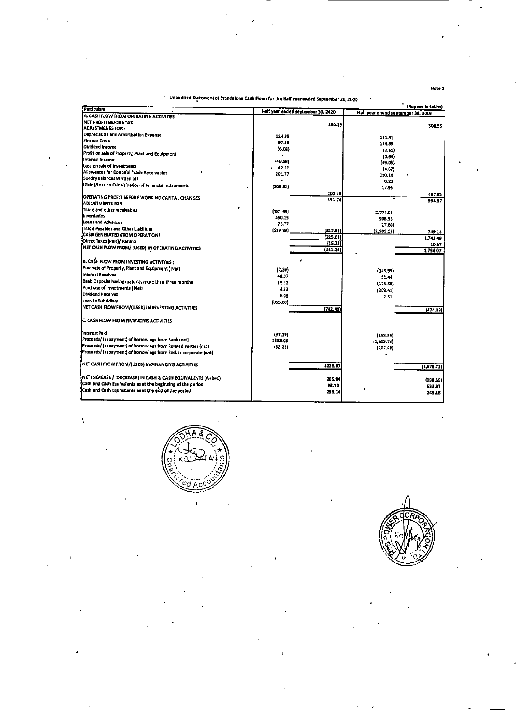## Unaudited Statement of Standalone Cash Flows for the Half year ended September 30, 2020

A.

a<br>Literature de debied

| Particulars                                                      | Half year ended september 30, 2020 |          | Half year ended september 30, 2019 | (vabest ruskus) |
|------------------------------------------------------------------|------------------------------------|----------|------------------------------------|-----------------|
| A. CASH FLOW FROM OPERATING ACTIVITIES                           |                                    |          |                                    |                 |
| NET PROFIT BEFORE TAX                                            |                                    | 390.29   |                                    |                 |
| ADJUSTMENTS FOR -                                                |                                    |          |                                    | 506.55          |
| Depreclation and Amortisation Expense                            | 124.35                             |          | 141.81                             |                 |
| Einance Costs                                                    | 97.19                              |          |                                    |                 |
| Dividend income                                                  | (6.08)                             |          | 174.59                             |                 |
| Profit on sale of Property, Plant and Equipment                  |                                    |          | (2.51)                             |                 |
| Interest income                                                  | (48.98)                            |          | (0.64)                             |                 |
| lloss on sale of Investments                                     | 42.51                              |          | (49.05)                            |                 |
| Allowances for Doubtful Trade Receivables                        | 201.77                             |          | (4.67)                             |                 |
| Sundry Balances Written off                                      |                                    |          | 210.14                             |                 |
| (Gain)/Loss on Fair Valuation of Financial Instruments           | (209.31)                           |          | 0.20                               |                 |
|                                                                  |                                    |          | 17.95                              |                 |
| <b>IOPERATING PROFIT BEFORE WORKING CAPITAL CHANGES</b>          |                                    | 201.45   |                                    | 487.82          |
| ADJUSTMENTS FOR -                                                |                                    | 591.74   |                                    | 994.37          |
| Trade and other receivables                                      |                                    |          |                                    |                 |
| <b>Inventories</b>                                               | (781.68)                           |          | 2,774.05                           |                 |
| Loans and Advances                                               | 460.25                             |          | 90B.55                             |                 |
| Trade Payables and Other Liabilities                             | 23.77                              |          | (27.88)                            |                 |
| CASH GENERATED FROM OPERATIONS                                   | (519.89)                           | (817.55) | (2,905.59)                         | 749.13          |
| JOirect Taxes (Paid)/ Refund                                     |                                    | (225.81) |                                    | 1,743.49        |
|                                                                  |                                    | (15.33)  |                                    | 10.57           |
| [NET CASH FLOW FROM/ (USED) IN OPERATING ACTIVITIES              |                                    | (241.14) |                                    | 1,754.07        |
|                                                                  |                                    |          |                                    |                 |
| <b>B. CASH FLOW FROM INVESTING ACTIVITIES:</b>                   |                                    |          |                                    |                 |
| Purchase of Property, Plant and Equipment (Net)                  | (2.59)                             |          | (143.99)                           |                 |
| Interest Received                                                | 48.97                              |          | 51,44                              |                 |
| Bank Deposits having maturity more than three months             | 15.12                              |          | (175.58)                           |                 |
| Purchase of Investments ( Net)                                   | 4.93                               |          | (208.41)                           |                 |
| Dividend Received                                                | 6.08                               |          | 2.51                               |                 |
| Loan to Subsidiary                                               | [855.00]                           |          |                                    |                 |
| <b>INET CASH FLOW FROM/(USED) IN INVESTING ACTIVITIES</b>        |                                    | (782.49) |                                    | (474.03)        |
|                                                                  |                                    |          |                                    |                 |
| IC. CASH FLOW FROM FINANCING ACTIVITIES                          |                                    |          |                                    |                 |
|                                                                  |                                    |          |                                    |                 |
| finterest Paid                                                   | (97.19)                            |          |                                    |                 |
| Proceeds/ (repayment) of Borrowings from Bank (net)              | 1388.08                            |          | ${153.59}$                         |                 |
| Proceeds/ (repayment) of Borrowings from Related Parties (net)   | (62.22)                            |          | (1, 309.74)                        |                 |
| Proceeds/ (repayment) of Borrowings from Bodies corporate (net)  |                                    |          | (207, 40)                          |                 |
|                                                                  |                                    |          |                                    |                 |
| INET CASH FLOW FROM/(USED) IN FINANCING ACTIVITIES               |                                    | 1228.67  |                                    | (1,670.73)      |
|                                                                  |                                    |          |                                    |                 |
| $[NET INCREASE / (DECREASE) IN CASH & CASH EQUIVALENTS (A+B+C)]$ |                                    | 205.04   |                                    | (390.69)        |
| Cash and Cash Equivalents as at the beginning of the period      |                                    | 93.10    |                                    | 633.87          |
| Cash and Cash Equivalents as at the end of the period            |                                    | 298.14   |                                    | 243.18          |
|                                                                  |                                    |          |                                    |                 |

Note 2

÷

 $\bullet$ 



 $\star^{\prime}$ 

۰

 $\bullet$ 







 $\sim 10$ 

 $\mathcal{O}(\mathcal{O}_\mathcal{O})$ 

 $\sim 100$  km s  $^{-1}$ 

 $\label{eq:2.1} \frac{1}{\sqrt{2\pi}}\int_{0}^{\infty}\frac{1}{\sqrt{2\pi}}\left(\frac{1}{\sqrt{2\pi}}\right)^{2\alpha} \frac{1}{\sqrt{2\pi}}\int_{0}^{\infty}\frac{1}{\sqrt{2\pi}}\left(\frac{1}{\sqrt{2\pi}}\right)^{\alpha} \frac{1}{\sqrt{2\pi}}\frac{1}{\sqrt{2\pi}}\int_{0}^{\infty}\frac{1}{\sqrt{2\pi}}\frac{1}{\sqrt{2\pi}}\frac{1}{\sqrt{2\pi}}\frac{1}{\sqrt{2\pi}}\frac{1}{\sqrt{2\pi}}\frac{1}{\sqrt{2\$ 

the contract of the contract of 

 $\mathcal{L}_{\text{max}}$  , where  $\mathcal{L}_{\text{max}}$ 

 $\mathcal{L}^{(1,2)}$  and  $\mathcal{L}^{(1,2)}$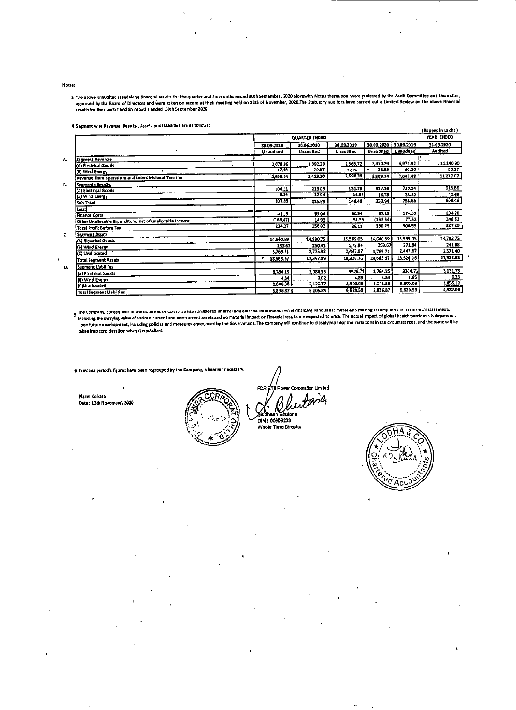#### Notes:

3 The above unaudited standalone financial results for the quarter and Six months anded 30th September, 2020 alongwith Notes thereupon were reviewed by the Audit Committee and thereafter, approved by the Board of Directors and were taken on record at their meeting held on 13th of November, 2020.The Statutory auditors have carried out a Limited Review on the above Financial results for the quarter and Six months ended 30th September 2020.  $\mathbf{L}$ 

 $\mathcal{L}_{\mathcal{A}}$ 

4 Segment wise Revenue, Results, Assets and Liabilities are as follows:

|                                                          |            |                      |                  |           |                       | (Rupees in Lakhs) |
|----------------------------------------------------------|------------|----------------------|------------------|-----------|-----------------------|-------------------|
|                                                          |            | <b>QUARTER ENDED</b> |                  |           |                       | YEAR ENDED        |
|                                                          | 30.09.2020 | 30.06.2020           | 30.09.2019       |           | 30.09.2020 30.09.2019 | 31.03.2020        |
|                                                          | Unaudited  | Unaudited            | <b>Unaudited</b> |           | Unaudited   Unaudited | Audited           |
| ٠<br>Segment Revenue<br>А.                               |            |                      |                  |           |                       |                   |
| (A) Electrical Goods                                     | 2,078.06   | 1,392.23             | 2,565.72         | 3,470.29  | 6,974.92              | .11.140.90        |
| (B) Wind Energy                                          | 17,98      | 20.97                | 32.67            | 38.95     | 67.56                 | 86.17             |
| Revenue from operations and interdivisional Transfer     | 2,096.04   | 1,413.20             | 2,598.39         | 3,509.24  | 7,042.48              | 11,227.07         |
| Segments Results<br>В.                                   |            |                      |                  |           |                       |                   |
| (A) Electrical Goods                                     | 104.11     | 213.05               | 131.76           | 317.16    | 720.24                | 919.86            |
| (8) Wind Energy                                          | 3.84       | 12.94                | 16.64            | 16.78     | 38.42                 | 40.63             |
| Sub Total                                                | 107.95     | 225.99               | 148.40           | 333.94    | 758.66                | 960.49            |
| Less:                                                    |            |                      |                  |           |                       |                   |
| <b>Finance Costs</b>                                     | 42.15      | 55.04                | 60.94            | 97.19     | 174.59                | 284.78            |
| Other Unaliocable Expenditure, net of unaliocable income | (168.47)   | 14.93                | 51.35            | (153.54)  | 77.52                 | 348.51            |
| Total Profit Before Tax                                  | 234.27     | 156.02               | 36.11            | 390.29    | 506.55                | 327.20            |
| Segment Assets<br>С.                                     |            |                      |                  |           |                       |                   |
| (A) Electrical Goods                                     | 14,640,59  | 14,830.75            | 15, 599.05       | 14,640.59 | 15,599.05             | 14,708.75         |
| (B) Wind Emergy                                          | 253,67     | 250.42               | 273.84           | 253.67    | 273.84                | 241.88            |
| (C) Unallocated                                          | 3,769.71   | 2,775.92             | 2,447.87         | 3,769.71  | 2,447.87              | 2,571.40          |
| <b>Total Segment Assets</b>                              | 18,663.97  | 17,857.09            | 18,320.76        | 18,663.97 | 18,320.76             | 17,522.03         |
| Segment Liabilities<br>D.                                |            |                      |                  |           |                       |                   |
| (A) Electrical Goods                                     | 3,784.15   | 3,084.55             | 3324.71          | 3,784.15  | 3324.71               | 3,131,73          |
| (B) Wind Energy                                          | 4.34       | 0.02                 | 4.85             | 4.34      | 4.85                  | 0.23              |
| (C)Unallocated                                           | 2,048.38   | 2,120.77             | 3,300.03         | 2,048.38  | 3,300.03              | 1,855.12          |
| <b>Total Segment Liabilties</b>                          | 5,836.87   | 5,205.34             | 6,629.59         | 5,836.87  | 6,629.59              | 4,987.08          |

The Company, consequent to the outoreak of COVID-19 has considered internal and external information while malizing various estimates and making assumptions to its miencial statements. including the carrying value of various current and non-current assets and no material impact in financial results are expected to arise. The actual impact of global health pandemic is dependent upon future development, including policies and measures announced by the Government. The company will continue to closely monitor the variations in the circumstances, and the same will be taken into consideration when it crystalizes.

6 Previous period's figures have been regrouped by the Company, wherever necessary.

Place: Kolkata Date: 13th November, 2020



Power Corporation Limited FOR ETS

ilddharth Bhuto

DIN: 00609233 Whole Time Director



 $\overline{\mathbf{1}}$ 

 $\mathcal{L}^{\mathcal{L}}$ 

 $\blacksquare$ 

 $\mathcal{L}(\mathcal{L}(\mathcal{L}))$  and  $\mathcal{L}(\mathcal{L}(\mathcal{L}))$  . The contribution of the contribution of  $\mathcal{L}(\mathcal{L})$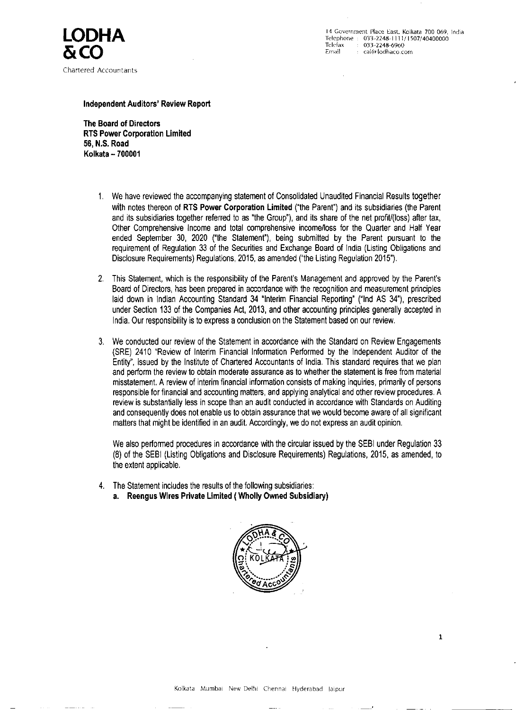Chartered Accountants

 $\text{LODHA}$  14 Government Place East, Kolkata 700 069, India<br>Telephone : 033-2248-1113/1507/40400000 Telephone : 033-2248-1114/1507/40400000 Telefax : 033-2248-6960 Email : 033-2240-0700<br>Email : cal@lodhaco.com

Independent Auditors' Review Report

The Board of Directors RTS Power Corporation Limited 56, N.S. Road Kolkata ~ 700001

> We also performed procedures in accordance with the circular issued by the SEBI under Regulation 33 (8) of the SEBI (Listing Obligations and Disclosure Requirements) Regulations, 2015, as amended, to the extent applicable.

- 1. We have reviewed the accompanying statement of Consolidated Unaudited Financial Results together with notes thereon of RTS Power Corporation Limited ("the Parent") and its subsidiaries (the Parent and its subsidiaries together referred to as "the Group'), and its share of the net profit/(loss) after tax, Other Comprehensive Income and total comprehensive income/loss for the Quarter and Half Year ended September 30, 2020 ("the Statement'), being submitted by the Parent pursuant to the requirement of Regulation 33 of the Securities and Exchange Board of India (Listing Obligations and Disclosure Requirements) Regulations, 2015, as amended ('the Listing Regulation 2015").
- 2. This Statement, which is the responsibility of the Parent's Management and approved by the Parent's Board of Directors, has been prepared in accordance with the recognition and measurement principles laid down in Indian Accounting Standard 34 "Interim Financial Reporting" ("Ind AS 34"), prescribed under Section 133 of the Companies Act, 2013, and other accounting principles generally accepted in India. Our responsibility is to express a conclusion on the Statement based on our review.
- 3. We conducted our review of the Statement in accordance with the Standard on Review Engagements (SRE) 2410 "Review of Interim Financial Information Performed by the Independent Auditor of the Entity', issued by the Institute of Chartered Accountants of India. This standard requires that we plan and perform the review to obtain moderate assurance as to whether the statement is free from material misstatement. A review of interim financial information consists of making inquiries, primarily of persons responsible for financial and accounting matters, and applying analytical and other review procedures. A review is substantially less in scope than an audit conducted in accordance with Standards on Auditing and consequently does not enable us to obtain assurance that we would become aware of all significant matters that might be identified in an audit. Accordingly, we do not express an audit opinion.

- 4. The Statement includes the results of the following subsidiaries:
	- a. Reengus Wires Private Limited ( Wholly Owned Subsidiary)



Kolkata) Mumbai New Delhi Chennai Hyderabad Jaipur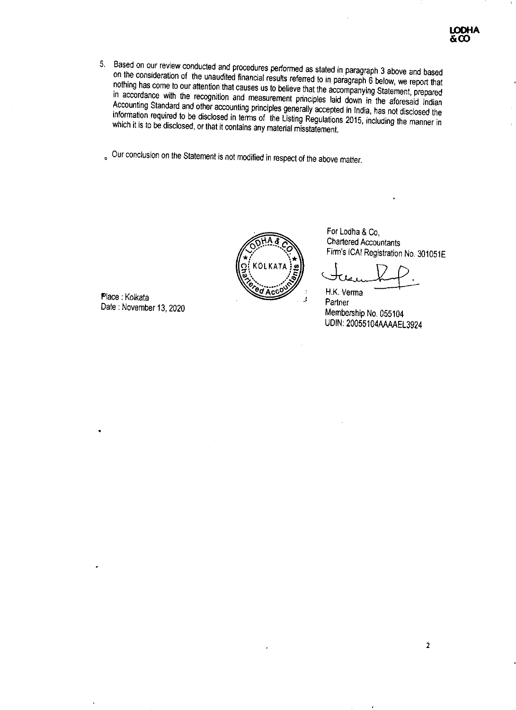- 5, Based on our review conducted and procedures performed as stated in paragraph 3 above and based on the consideration of the unaudited financial results referred to in paragraph 6 below, we report that nothing has come to our attention that causes us to believe that the accompanying Statement, prepared in accordance with the recognition and measurement principles laid down in the aforesaid Indian Accounting Standard and other accounting principles generally accepted in India, has not disclosed the information required to be disclosed in terms of the Listing Regulations 2015, including the manner in which it is to be disclosed, or that it contains any material misstatement.
- Our conclusion on the Statement is not modified in respect of the above matter.

Date : November 13, 2020<br>
Membership No. 055104 UDIN: 20055104AAAAEL3024

 $\sim 100$ 



For Lodha & Co, Chartered Accountants Firm's ICAI Registration No. 301051E

Place : Kolkata 4 Place : Kolkata 4 Place : Kolkata 4 Partner



 $\Delta \sim$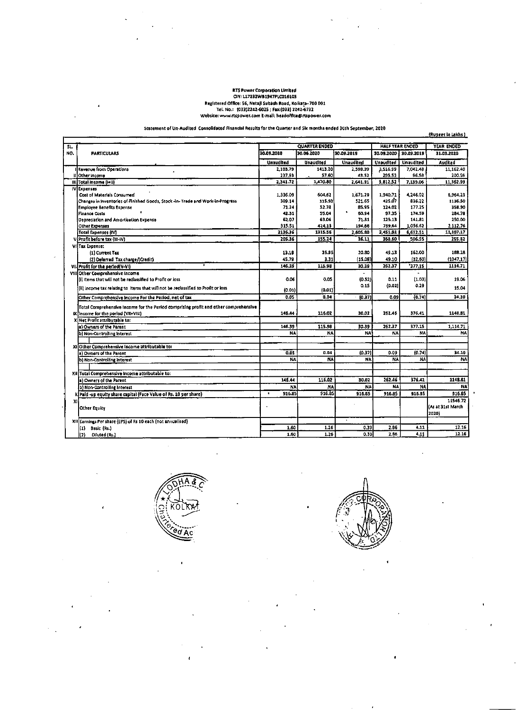### **RTS Power Corporation Limited** CIN: L17232WB1947PLC016105 Registered Office: 56, Netaji Subash Road, Koikaţa- 700 001 Tel. No.: (033)2242-6025 ; Fax:(033) 2242-6732 Website: www.rtspower.com E-mail: headoffice@rtspower.com

Statement of Un-Audited Consolidated Financial Results for the Quarter and Six months ended 30th September, 2020

(Rupees in Lakhs)

 $\sim$ 

÷

 $\bullet$ 

| SL. |                                                                                              |                    | <b>QUARTER ENDED</b> |                    |                    | <b>HALF YEAR ENDED</b> | YEAR ENDED          |
|-----|----------------------------------------------------------------------------------------------|--------------------|----------------------|--------------------|--------------------|------------------------|---------------------|
| NO. | <b>PARTICULARS</b>                                                                           | 30.09.2020         | 30.06.2020           | 30.09.2019         | 30.09.2020 1       | 30.09.2019             | 31.03.2020          |
|     |                                                                                              |                    |                      |                    |                    |                        |                     |
|     |                                                                                              | <b>Unaudited</b>   | Unaudited            | <b>Unaudited</b>   | Unaudited          | Unaudited              | Audited             |
|     | <b>I Revenue from Operations</b>                                                             | 2,103.79           | 1413.20              | 2,598.39           | 3,516,99           | 7,042.48               | 11,162.40           |
|     | IIIOther Income                                                                              | 237.93             | 57.60                | 43.52              | 295.53             | 96.S8                  | 200.59              |
|     | (III)Total Income (I+II)                                                                     | 2,341.72           | 1,470.80             | 2,641.91           | 3,812.52           | 7,139.06               | 11,362.99           |
|     | IV Expenses<br>Cost of Materials Consumed                                                    |                    |                      |                    |                    |                        |                     |
|     | Changes in Inventories of Finished Goods, Stock -in- Trade and Work-In-Progress              | 1,336.09<br>309.14 | 604,62<br>115.93     | 1,671.29<br>521.65 | 1,940.71<br>425.07 | 4,246.02<br>836.22     | 5,964.23<br>1136.50 |
|     | Employee Benefits Expense                                                                    | 71.24              | 52.78                | 85.95              | 124.02             | 177.25                 | 358,90              |
|     | Finance Costs                                                                                | 42.31              | 55.04                | 50.94              | 97.35              | 174.59                 | 284.78              |
|     | Depreciation and Amortization Expense                                                        | 62.07              | 63.06                | 71.31              | 125.13             | 141.81                 | 250.00              |
|     | Other Expenses                                                                               | 315.51             | 424.13               | 194.66             | 739.64             | 1,056.62               | 2,112.76            |
|     | Total Expenses (IV)                                                                          | 2136.36            | 1315.56              | 2,605.80           | 3,451.92           | 6,632.51               | 11,107.17           |
|     | V}Profit before tax (III-IV).                                                                | 205.36             | 155.24               | 36.11              | 360.60             | 506.55                 | 255.82              |
|     | VI Tax Expenset                                                                              |                    |                      |                    |                    |                        |                     |
|     | (1) Current Tax                                                                              | 13.16              | 35.95                | 20.80              | 49.13              | 162.00                 | 188.28              |
|     | (2) Deferred Tax charge/(Credit)                                                             | 45.79              | 3.31                 | (15.08)            | 49.10              | (32.60)                | (1047.17)           |
|     |                                                                                              | 146.39             | 115.98               | 30.39              | 262.37             | '377.15                | 1114.71             |
|     | VII Profit for the period(V-VI)                                                              |                    |                      |                    |                    |                        |                     |
|     | VIII Other Comprehensive Income<br>(i) Items that will not be reclassified to Profit or loss | 0.06               | 0.05                 | -                  | 0.11               | (1.03)                 | 19.06               |
|     |                                                                                              |                    |                      | (0.52)<br>0.15     | (0.02)             | 0.29                   |                     |
|     | (iii) income tax relating to ilterns that will not be reclassified to Profit or loss         | (0.01)             | (0.01)               |                    |                    |                        | 15.04               |
|     | Other Comprehensive Income For the Period, net of tax.                                       | 0.05               | 0.04                 | [0.37]             | 0.09               | (0.74)                 | 34.10               |
|     | Total Comprehensive Income for the Period comprising profit and other comprehensive          |                    |                      |                    |                    |                        |                     |
|     | $\mathbb{K}$ (income for the period (VII+VIII).                                              | 145.44             | 115.02               | 30.02              | 262.46             | 376.41                 | 1148.81             |
|     | X Net Profit attributable to:                                                                |                    |                      |                    |                    |                        |                     |
|     | a) Owners of the Parent                                                                      | 146.39             | 115.98               | 30.39              | 262.37             | 377.15                 | 1,114.71            |
|     | b) Non-Controlling Interest                                                                  | <b>NA</b>          | NA.                  | <b>NA</b>          | NA.                | NA.                    | NA                  |
|     |                                                                                              |                    |                      |                    |                    |                        |                     |
|     | XI Other Comprehensive Income attributable to:                                               |                    |                      |                    |                    |                        |                     |
|     | [a] Owners of the Parent                                                                     | 0.05               | 0.04                 | (0.37)             | 0.09               | (0.74)                 | 34.10               |
|     | b) Non-Cantrolling Interest                                                                  | NA.                | <b>NA</b>            | NA.                | NA.                | NA                     | <b>NA</b>           |
|     |                                                                                              |                    |                      |                    |                    |                        |                     |
|     | XII Total Comprehensive Income attributable to:                                              |                    |                      |                    |                    |                        |                     |
|     | [a) Owners of the Parent                                                                     | 146.44             | 116.02               | 30.02              | 262.46             | 376.41                 | 1148.81             |
|     | b) Non-Controlling Interest                                                                  | <b>NA</b>          | NA                   | <b>NA</b>          | <b>NA</b>          | NA                     | <b>NA</b>           |
|     | X Paid -up equity share capital (Face Value of Rs. 10 per share)                             | 916.85             | 916.85               | 916.85             | 916.85             | 916.85                 | 916.85              |
|     | ΧIΙ                                                                                          |                    |                      |                    |                    |                        | 11546.72            |
|     | <b>Other Equity</b>                                                                          |                    |                      |                    |                    |                        | (As at 31st March)  |
|     |                                                                                              |                    |                      |                    |                    |                        | 2020)               |
|     | XII Earnings Per share (EPS) of Rs 10 each (not annualised)                                  |                    |                      |                    |                    |                        |                     |
|     | Basic (Rs.)<br>$\vert(1) \vert$                                                              | 1.60               | 1.26                 | 0.33               | 2.86               | 4.11                   | 12.16               |
|     | Diluted (Rs.)<br>(2)                                                                         | 1.60               | 1.26                 | 0.33               | 2.86               | 4.11                   | 12.16               |



 $\bullet$ 

 $\blacktriangle$ 

 $\overline{\phantom{a}}$ 

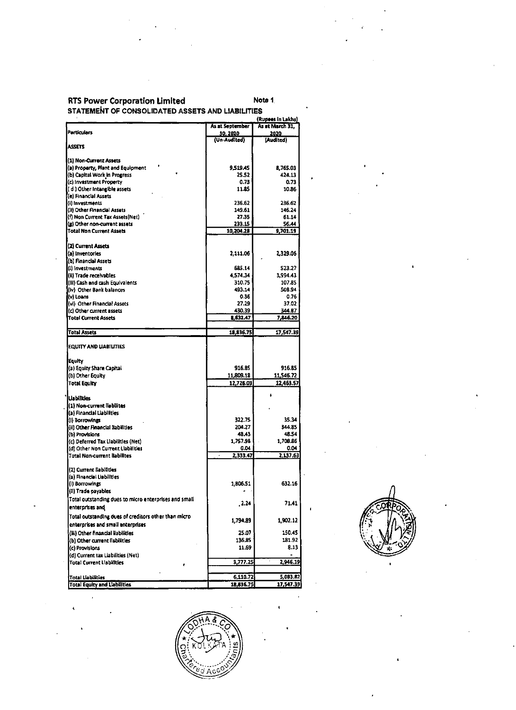# **RTS Power Corporation Limited Note 1.** Note 1.

| <b>Particulars</b>                                                                                                          | STATEMENT OF CONSOLIDATED ASSETS AND LIABILITIES | Note 1                               |
|-----------------------------------------------------------------------------------------------------------------------------|--------------------------------------------------|--------------------------------------|
|                                                                                                                             | As at September                                  | (Rupees in Lakhs)<br>As at March 31, |
|                                                                                                                             | <u>30, 2020.</u><br>(Un-Audited)                 | <u> 2020 </u><br>(Audited)           |
| <b>ASSETS</b>                                                                                                               |                                                  |                                      |
| (1) Non-Current Assets                                                                                                      |                                                  |                                      |
| (a) Property, Plant and Equipment<br>(b) Capital Work in Progress                                                           | 9,519.45<br>25.52                                | 8,765.03<br>424.13                   |
| (c) investment Property                                                                                                     | 0.73                                             | 0.73                                 |
| (d) Other Intangible assets<br>(e) Financial Assets                                                                         | 11.85                                            | 10.86                                |
| (i) Investments                                                                                                             | 236.62                                           | 236.62                               |
| (ii) Other Financial Assets                                                                                                 | 149.61                                           | 146.24                               |
| (f) Non Current Tax Assets(Net)<br>(g) Other non-current assets                                                             | 27.35<br>233.15                                  | 61.14<br>56.44                       |
| Total Non Current Assets                                                                                                    | 10,204.28                                        | 9,701.19                             |
| (2) Current Assets                                                                                                          |                                                  |                                      |
| (a) inventories                                                                                                             | 2,111.06                                         | 2,329.06                             |
| (b) Financial Assets<br>(l) investments                                                                                     | 685.14                                           | 523.27                               |
| (ii) Trade receivables                                                                                                      | 4,574.34                                         | 3,994.43                             |
| (fil) Cash and cash Equivalents                                                                                             | 310.75                                           | 107.85                               |
| (iv) Other Bank balances<br>(v) Loans                                                                                       | 493.14<br>0.36                                   | 508.94<br>0.76                       |
| (vl) Other Financial Assets                                                                                                 | 27.29                                            | 37.02                                |
| (c) Other current assets<br><b>iTotal Current Assets</b>                                                                    | 430.39<br>8,632.47                               | 344.87<br>7,846.20                   |
|                                                                                                                             |                                                  |                                      |
| <b>Total Assets</b>                                                                                                         | 18,836.75                                        | 17,547.39                            |
| EQUITY AND LIABILITIES                                                                                                      |                                                  |                                      |
| <b>Equity</b>                                                                                                               | 916.85                                           |                                      |
| (a) Equity Share Capital<br>(b) Other Equity                                                                                | 11,809.18                                        | 916.85<br>11,546.72                  |
| <b>Total Equity</b>                                                                                                         | 12,726.03                                        | 12,463.57                            |
| <b>Lisbilities</b>                                                                                                          |                                                  |                                      |
| (1) Non-current liabilites                                                                                                  |                                                  |                                      |
| (a) Financial Liabilities                                                                                                   | 322.75                                           | 35.34                                |
| (I) Borrowings<br>[(ii) Other Financial Ilabilities                                                                         | 204.27                                           | 344.85                               |
| [(b) Provisions                                                                                                             | 48.43                                            | 48.54                                |
| (c) Deferred Tax Liabilities (Net)<br>(d) Other Non Current Liabilities                                                     | 1,757.98<br>0.04                                 | 1,708.86<br>0.04                     |
| Total Non-current Ilabilites                                                                                                | 2,333.47                                         | 2,137.63                             |
| (2) Current liabilities                                                                                                     |                                                  |                                      |
| (a) Financial Liabilities                                                                                                   |                                                  |                                      |
| (i) Borrowings<br>[{ii) Trade payables                                                                                      | 1,806.51                                         | 632.16                               |
| Total outstanding dues to micro enterprises and small                                                                       | , 2.24                                           | 71.41                                |
| enterprises and                                                                                                             |                                                  |                                      |
| Total outstanding dues of creditors other than micro-<br>enterprises and small enterprises                                  | 1,794.89                                         | 1,902.12                             |
| (iii) Other financial liabilities                                                                                           | 25.07                                            | 150.45                               |
|                                                                                                                             | 136.85                                           | 181.92                               |
|                                                                                                                             | 11.69                                            | 8.13                                 |
|                                                                                                                             |                                                  |                                      |
| (c) Provisions                                                                                                              | 3,777.25                                         | 2,946.19                             |
| (b) Other current liabilities<br>(d) Current tax Liabilities (Net)<br>Total Current Liabilities<br><b>Total Liabilities</b> | 6,110.72                                         | 5,083.B2                             |



 $\blacksquare$ 

 $\bullet$ 

 $\sim$ 

 $\ddot{\phantom{1}}$ 

 $\mathbf{v}$ 

 $\bullet$ 

 $\bullet$ 

 $\bullet$ 

 $\ddot{\phantom{1}}$ 

.



 $\blacktriangle$ 

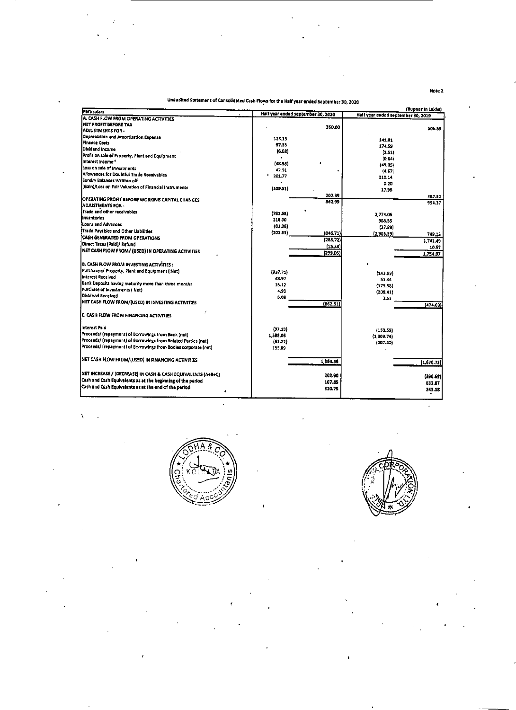|--|--|--|--|

## Unaudited Statement of Consolidated Cash Flows for the Hatf year ended Septembar 30, <sup>2020</sup>

的,我们也不会有什么?""我们的人,我们也不会有什么?""我们的人,我们也不会有什么?""我们的人,我们也不会有什么?""我们的人,我们也不会有什么?""我们的

 

| ÷.                                                                                                                                |                                                                                           |                                    |                   |
|-----------------------------------------------------------------------------------------------------------------------------------|-------------------------------------------------------------------------------------------|------------------------------------|-------------------|
| ÷                                                                                                                                 | ٠                                                                                         |                                    |                   |
|                                                                                                                                   | ٠                                                                                         |                                    |                   |
| ٠.                                                                                                                                |                                                                                           |                                    |                   |
|                                                                                                                                   |                                                                                           |                                    |                   |
|                                                                                                                                   |                                                                                           |                                    |                   |
|                                                                                                                                   |                                                                                           |                                    |                   |
|                                                                                                                                   |                                                                                           |                                    |                   |
|                                                                                                                                   |                                                                                           |                                    |                   |
|                                                                                                                                   |                                                                                           |                                    | Note 2            |
|                                                                                                                                   |                                                                                           |                                    |                   |
|                                                                                                                                   | Unaudited Statement of Consolidated Cash Flows for the Half year ended September 30, 2020 |                                    |                   |
| <b>Particulars</b>                                                                                                                | Half year ended september 30, 2020                                                        | Half year ended september 30, 2019 | (Rupees in Lakhs) |
| A. CASH FLOW FROM OPERATING ACTIVITIES<br><b>INET PROFIT BEFORE TAX</b>                                                           |                                                                                           |                                    |                   |
| ADJUSTMENTS FOR -                                                                                                                 | 360.60                                                                                    |                                    | 506.55            |
| Depredation and Amortisation Expense                                                                                              | 125.13                                                                                    | 141.81                             |                   |
| Finance Costs<br>Dividend Income                                                                                                  | 97.35                                                                                     | 174.59                             |                   |
| Profit on sale of Property, Plant and Equipment                                                                                   | (6.08)                                                                                    | (2.51)                             |                   |
| (Interest Income *                                                                                                                | (48.98)                                                                                   | [0.64]<br>(49.05)                  |                   |
| Loss on sale of investments<br>Allowances for Doubtful Trade Receivables                                                          | 42.51                                                                                     | ${4.67}$                           |                   |
| Sundry Balances Written off                                                                                                       | 201.77                                                                                    | 210.14                             |                   |
| (Gain)/Loss on Fair Valuation of Financial Instruments                                                                            | (209.31)                                                                                  | 0.20<br>17.95                      |                   |
|                                                                                                                                   | 202.39                                                                                    |                                    | 4B7.82            |
| <b>OPERATING PROFIT BEFORE WORKING CAPITAL CHANGES</b><br>ADJUSTMENTS FOR -                                                       | 562.99                                                                                    |                                    | 994.37            |
| Trade and other receivables                                                                                                       | (781, 68)                                                                                 | 2,774.05                           |                   |
| inventories.                                                                                                                      | 218.00                                                                                    | 908.55                             |                   |
| Ecans and Advances<br>Trade Payables and Other Liabilities                                                                        | (81.06)                                                                                   | (27,88)                            |                   |
| <b>CASH GENERATED FROM OPERATIONS</b>                                                                                             | (201.95)<br>[846.71)]<br>(283, 72)                                                        | (2,905.59)                         | 749.13            |
| Direct Taxes (Pald)/ Refund                                                                                                       | <u>(15.33)</u>                                                                            |                                    | 1,743.49<br>10.57 |
| <b>INET CASH FLOW FROM/ (USED) IN OPERATING ACTIVITIES</b>                                                                        | [299.05]                                                                                  |                                    | 1,754.07          |
| <b>B. CASH FLOW FROM INVESTING ACTIVITIES:</b>                                                                                    |                                                                                           |                                    |                   |
| Purchase of Property, Plant and Equipment (Net)                                                                                   | (937.71)                                                                                  | ${143,99}$                         |                   |
| <b>Interest Received</b>                                                                                                          | 48.97                                                                                     | 51.44                              |                   |
| Bank Deposits having maturity more than three months<br>Purchase of Investments (Net)                                             | 15.12                                                                                     | (175.58)                           |                   |
| Dividend Received                                                                                                                 | 4.93<br>6.08                                                                              | (208.41)<br>2.51                   |                   |
| <b>INET CASH FLOW FROM/(USED) IN INVESTING ACTIVITIES</b>                                                                         | (862.61)                                                                                  |                                    | (474.03)          |
|                                                                                                                                   |                                                                                           |                                    |                   |
| <b>C. CASH FLOW FROM FINANCING ACTIVITIES</b>                                                                                     |                                                                                           |                                    |                   |
| Interest Paid                                                                                                                     | (97.19)                                                                                   | (153.59)                           |                   |
| Proceeds/ (repayment) of Borrowings from Bank (net)                                                                               | 1,389.06                                                                                  | (1,309.74)                         |                   |
| Proceeds/ (repayment) of Borrowings from Related Parties (net)<br>Proceeds/ (repayment) of Borrowings from Bodies corporate (net) | (62.22)<br>135.89                                                                         | (207.40)                           |                   |
|                                                                                                                                   |                                                                                           |                                    |                   |
| NET CASH FLOW FROM/(USED) IN FINANCING ACTIVITIES                                                                                 | 1,364.56                                                                                  |                                    | (1,670.73)        |
|                                                                                                                                   |                                                                                           |                                    |                   |
| NET INCREASE / (DECREASE) IN CASH & CASH EQUIVALENTS (A+B+C)<br>Cash and Cash Equivalents as at the beginning of the period       | 202.90                                                                                    |                                    | (390.69)          |
| Cash and Cash Equivalents as at the end of the period                                                                             | 107.85<br>310.75                                                                          |                                    | 633.87            |
|                                                                                                                                   |                                                                                           |                                    | 243.18            |
|                                                                                                                                   |                                                                                           |                                    |                   |
|                                                                                                                                   |                                                                                           |                                    |                   |
|                                                                                                                                   |                                                                                           |                                    |                   |
|                                                                                                                                   |                                                                                           |                                    |                   |
|                                                                                                                                   |                                                                                           |                                    |                   |
|                                                                                                                                   |                                                                                           |                                    |                   |
|                                                                                                                                   |                                                                                           |                                    |                   |
|                                                                                                                                   |                                                                                           |                                    |                   |
|                                                                                                                                   |                                                                                           |                                    |                   |
|                                                                                                                                   |                                                                                           |                                    |                   |
|                                                                                                                                   |                                                                                           |                                    |                   |
|                                                                                                                                   |                                                                                           |                                    |                   |
|                                                                                                                                   |                                                                                           |                                    |                   |
|                                                                                                                                   |                                                                                           |                                    |                   |
|                                                                                                                                   |                                                                                           |                                    |                   |



 $\mathcal{O}(\mathcal{O}(n))$  . The contract of the contract of the contract of the contract of the contract of the contract of the contract of the contract of the contract of the contract of the contract of the contract of the contra